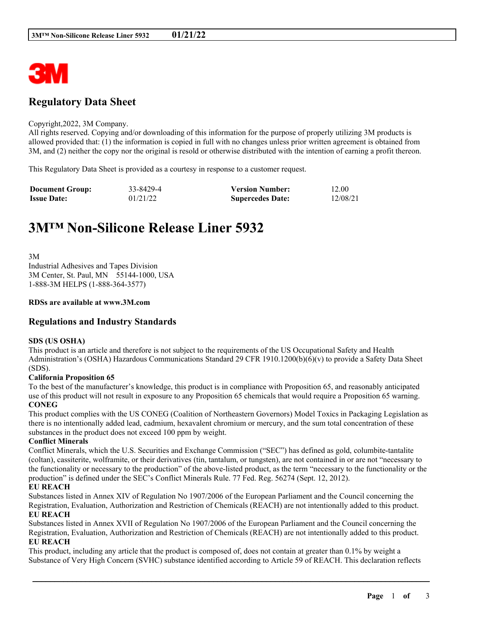

# **Regulatory Data Sheet**

#### Copyright,2022, 3M Company.

All rights reserved. Copying and/or downloading of this information for the purpose of properly utilizing 3M products is allowed provided that: (1) the information is copied in full with no changes unless prior written agreement is obtained from 3M, and (2) neither the copy nor the original is resold or otherwise distributed with the intention of earning a profit thereon.

This Regulatory Data Sheet is provided as a courtesy in response to a customer request.

| <b>Document Group:</b> | 33-8429-4 | <b>Version Number:</b>  | 12.00    |
|------------------------|-----------|-------------------------|----------|
| <b>Issue Date:</b>     | 01/21/22  | <b>Supercedes Date:</b> | 12/08/21 |

# **3M™ Non-Silicone Release Liner 5932**

3M Industrial Adhesives and Tapes Division 3M Center, St. Paul, MN 55144-1000, USA 1-888-3M HELPS (1-888-364-3577)

#### **RDSs are available at www.3M.com**

# **Regulations and Industry Standards**

#### **SDS (US OSHA)**

This product is an article and therefore is not subject to the requirements of the US Occupational Safety and Health Administration's (OSHA) Hazardous Communications Standard 29 CFR 1910.1200(b)(6)(v) to provide a Safety Data Sheet (SDS).

#### **California Proposition 65**

To the best of the manufacturer's knowledge, this product is in compliance with Proposition 65, and reasonably anticipated use of this product will not result in exposure to any Proposition 65 chemicals that would require a Proposition 65 warning. **CONEG**

This product complies with the US CONEG (Coalition of Northeastern Governors) Model Toxics in Packaging Legislation as there is no intentionally added lead, cadmium, hexavalent chromium or mercury, and the sum total concentration of these substances in the product does not exceed 100 ppm by weight.

#### **Conflict Minerals**

Conflict Minerals, which the U.S. Securities and Exchange Commission ("SEC") has defined as gold, columbite-tantalite (coltan), cassiterite, wolframite, or their derivatives (tin, tantalum, or tungsten), are not contained in or are not "necessary to the functionality or necessary to the production" of the above-listed product, as the term "necessary to the functionality or the production" is defined under the SEC's Conflict Minerals Rule. 77 Fed. Reg. 56274 (Sept. 12, 2012).

### **EU REACH**

Substances listed in Annex XIV of Regulation No 1907/2006 of the European Parliament and the Council concerning the Registration, Evaluation, Authorization and Restriction of Chemicals (REACH) are not intentionally added to this product. **EU REACH**

Substances listed in Annex XVII of Regulation No 1907/2006 of the European Parliament and the Council concerning the Registration, Evaluation, Authorization and Restriction of Chemicals (REACH) are not intentionally added to this product. **EU REACH**

This product, including any article that the product is composed of, does not contain at greater than 0.1% by weight a Substance of Very High Concern (SVHC) substance identified according to Article 59 of REACH. This declaration reflects

\_\_\_\_\_\_\_\_\_\_\_\_\_\_\_\_\_\_\_\_\_\_\_\_\_\_\_\_\_\_\_\_\_\_\_\_\_\_\_\_\_\_\_\_\_\_\_\_\_\_\_\_\_\_\_\_\_\_\_\_\_\_\_\_\_\_\_\_\_\_\_\_\_\_\_\_\_\_\_\_\_\_\_\_\_\_\_\_\_\_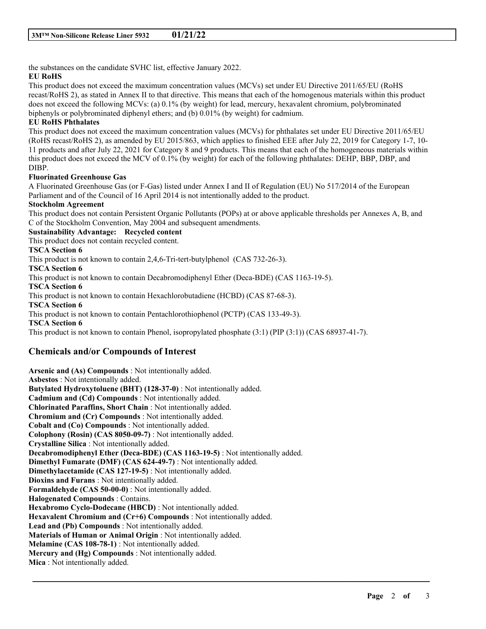the substances on the candidate SVHC list, effective January 2022.

# **EU RoHS**

This product does not exceed the maximum concentration values (MCVs) set under EU Directive 2011/65/EU (RoHS recast/RoHS 2), as stated in Annex II to that directive. This means that each of the homogenous materials within this product does not exceed the following MCVs: (a) 0.1% (by weight) for lead, mercury, hexavalent chromium, polybrominated biphenyls or polybrominated diphenyl ethers; and (b) 0.01% (by weight) for cadmium.

# **EU RoHS Phthalates**

This product does not exceed the maximum concentration values (MCVs) for phthalates set under EU Directive 2011/65/EU (RoHS recast/RoHS 2), as amended by EU 2015/863, which applies to finished EEE after July 22, 2019 for Category 1-7, 10- 11 products and after July 22, 2021 for Category 8 and 9 products. This means that each of the homogeneous materials within this product does not exceed the MCV of 0.1% (by weight) for each of the following phthalates: DEHP, BBP, DBP, and DIBP.

# **Fluorinated Greenhouse Gas**

A Fluorinated Greenhouse Gas (or F-Gas) listed under Annex I and II of Regulation (EU) No 517/2014 of the European Parliament and of the Council of 16 April 2014 is not intentionally added to the product.

# **Stockholm Agreement**

This product does not contain Persistent Organic Pollutants (POPs) at or above applicable thresholds per Annexes A, B, and C of the Stockholm Convention, May 2004 and subsequent amendments.

# **Sustainability Advantage: Recycled content**

This product does not contain recycled content.

### **TSCA Section 6**

This product is not known to contain 2,4,6-Tri-tert-butylphenol (CAS 732-26-3).

### **TSCA Section 6**

This product is not known to contain Decabromodiphenyl Ether (Deca-BDE) (CAS 1163-19-5).

**TSCA Section 6**

This product is not known to contain Hexachlorobutadiene (HCBD) (CAS 87-68-3).

**TSCA Section 6**

This product is not known to contain Pentachlorothiophenol (PCTP) (CAS 133-49-3).

**TSCA Section 6**

This product is not known to contain Phenol, isopropylated phosphate (3:1) (PIP (3:1)) (CAS 68937-41-7).

# **Chemicals and/or Compounds of Interest**

**Arsenic and (As) Compounds** : Not intentionally added. **Asbestos** : Not intentionally added. **Butylated Hydroxytoluene (BHT) (128-37-0)** : Not intentionally added. **Cadmium and (Cd) Compounds** : Not intentionally added. **Chlorinated Paraffins, Short Chain** : Not intentionally added. **Chromium and (Cr) Compounds** : Not intentionally added. **Cobalt and (Co) Compounds** : Not intentionally added. **Colophony (Rosin) (CAS 8050-09-7)** : Not intentionally added. **Crystalline Silica** : Not intentionally added. **Decabromodiphenyl Ether (Deca-BDE) (CAS 1163-19-5)** : Not intentionally added. **Dimethyl Fumarate (DMF) (CAS 624-49-7)** : Not intentionally added. **Dimethylacetamide (CAS 127-19-5)** : Not intentionally added. **Dioxins and Furans** : Not intentionally added. **Formaldehyde (CAS 50-00-0)** : Not intentionally added. **Halogenated Compounds** : Contains. **Hexabromo Cyclo-Dodecane (HBCD)** : Not intentionally added. **Hexavalent Chromium and (Cr+6) Compounds** : Not intentionally added. **Lead and (Pb) Compounds** : Not intentionally added. **Materials of Human or Animal Origin** : Not intentionally added. **Melamine (CAS 108-78-1)** : Not intentionally added. **Mercury and (Hg) Compounds** : Not intentionally added. **Mica** : Not intentionally added.

\_\_\_\_\_\_\_\_\_\_\_\_\_\_\_\_\_\_\_\_\_\_\_\_\_\_\_\_\_\_\_\_\_\_\_\_\_\_\_\_\_\_\_\_\_\_\_\_\_\_\_\_\_\_\_\_\_\_\_\_\_\_\_\_\_\_\_\_\_\_\_\_\_\_\_\_\_\_\_\_\_\_\_\_\_\_\_\_\_\_